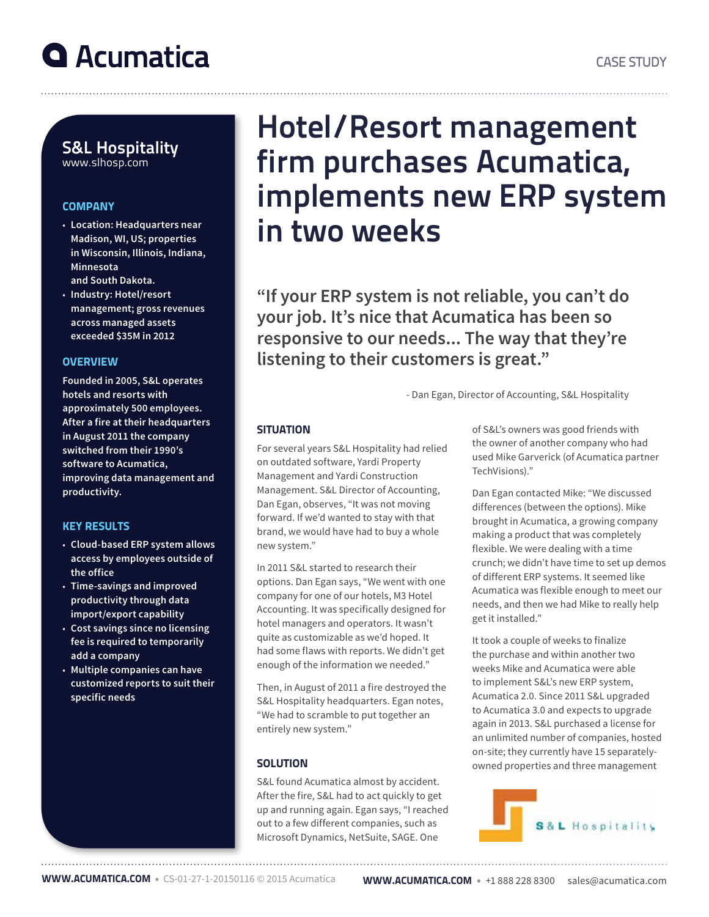## S&L Hospitality www.slhosp.com

#### **COMPANY**

- **Location: Headquarters near Madison, WI, US; properties in Wisconsin, Illinois, Indiana, Minnesota and South Dakota.**
- **Industry: Hotel/resort management; gross revenues across managed assets exceeded \$35M in 2012**

### **OVERVIEW**

**Founded in 2005, S&L operates hotels and resorts with approximately 500 employees. After a fire at their headquarters in August 2011 the company switched from their 1990's software to Acumatica, improving data management and productivity.**

### KEY RESULTS

- **Cloud-based ERP system allows access by employees outside of the office**
- **Time-savings and improved productivity through data import/export capability**
- **Cost savings since no licensing fee is required to temporarily add a company**
- **Multiple companies can have customized reports to suit their specific needs**

# Hotel/Resort management firm purchases Acumatica, implements new ERP system in two weeks

**"If your ERP system is not reliable, you can't do your job. It's nice that Acumatica has been so responsive to our needs... The way that they're listening to their customers is great."**

- Dan Egan, Director of Accounting, S&L Hospitality

### **SITUATION**

For several years S&L Hospitality had relied on outdated software, Yardi Property Management and Yardi Construction Management. S&L Director of Accounting, Dan Egan, observes, "It was not moving forward. If we'd wanted to stay with that brand, we would have had to buy a whole new system."

In 2011 S&L started to research their options. Dan Egan says, "We went with one company for one of our hotels, M3 Hotel Accounting. It was specifically designed for hotel managers and operators. It wasn't quite as customizable as we'd hoped. It had some flaws with reports. We didn't get enough of the information we needed."

Then, in August of 2011 a fire destroyed the S&L Hospitality headquarters. Egan notes, "We had to scramble to put together an entirely new system."

## **SOLUTION**

S&L found Acumatica almost by accident. After the fire, S&L had to act quickly to get up and running again. Egan says, "I reached out to a few different companies, such as Microsoft Dynamics, NetSuite, SAGE. One

of S&L's owners was good friends with the owner of another company who had used Mike Garverick (of Acumatica partner TechVisions)."

Dan Egan contacted Mike: "We discussed differences (between the options). Mike brought in Acumatica, a growing company making a product that was completely flexible. We were dealing with a time crunch; we didn't have time to set up demos of different ERP systems. It seemed like Acumatica was flexible enough to meet our needs, and then we had Mike to really help get it installed."

It took a couple of weeks to finalize the purchase and within another two weeks Mike and Acumatica were able to implement S&L's new ERP system, Acumatica 2.0. Since 2011 S&L upgraded to Acumatica 3.0 and expects to upgrade again in 2013. S&L purchased a license for an unlimited number of companies, hosted on-site; they currently have 15 separatelyowned properties and three management